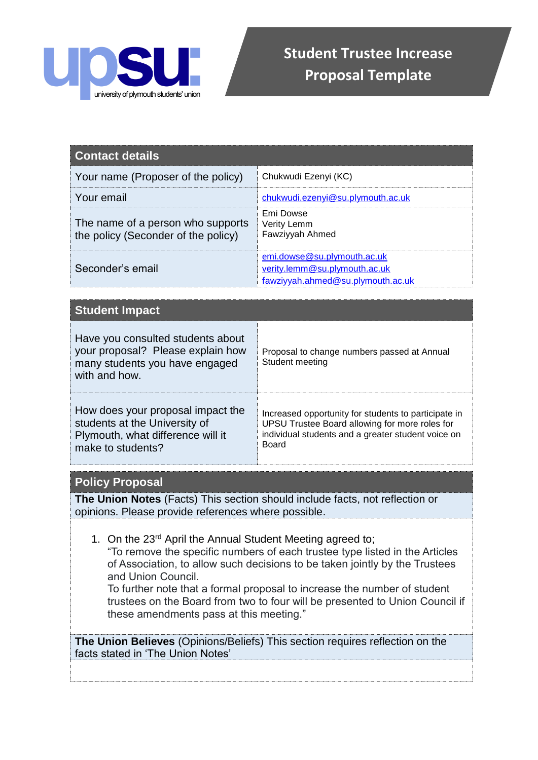

| Contact details                                                          |                                                                                                   |
|--------------------------------------------------------------------------|---------------------------------------------------------------------------------------------------|
| Your name (Proposer of the policy)                                       | Chukwudi Ezenyi (KC)                                                                              |
| Your email                                                               | chukwudi.ezenyi@su.plymouth.ac.uk                                                                 |
| The name of a person who supports<br>the policy (Seconder of the policy) | Emi Dowse<br>Verity Lemm<br>Fawziyyah Ahmed                                                       |
| Seconder's email                                                         | emi.dowse@su.plymouth.ac.uk<br>verity.lemm@su.plymouth.ac.uk<br>fawziyyah.ahmed@su.plymouth.ac.uk |

| <b>Student Impact</b>                                                                                                        |                                                                                                                                                                              |
|------------------------------------------------------------------------------------------------------------------------------|------------------------------------------------------------------------------------------------------------------------------------------------------------------------------|
| Have you consulted students about<br>your proposal? Please explain how<br>many students you have engaged<br>with and how.    | Proposal to change numbers passed at Annual<br>Student meeting                                                                                                               |
| How does your proposal impact the<br>students at the University of<br>Plymouth, what difference will it<br>make to students? | Increased opportunity for students to participate in<br>UPSU Trustee Board allowing for more roles for<br>individual students and a greater student voice on<br><b>Board</b> |

## **Policy Proposal**

**The Union Notes** (Facts) This section should include facts, not reflection or opinions. Please provide references where possible.

1. On the 23rd April the Annual Student Meeting agreed to;

"To remove the specific numbers of each trustee type listed in the Articles of Association, to allow such decisions to be taken jointly by the Trustees and Union Council.

To further note that a formal proposal to increase the number of student trustees on the Board from two to four will be presented to Union Council if these amendments pass at this meeting."

**The Union Believes** (Opinions/Beliefs) This section requires reflection on the facts stated in 'The Union Notes'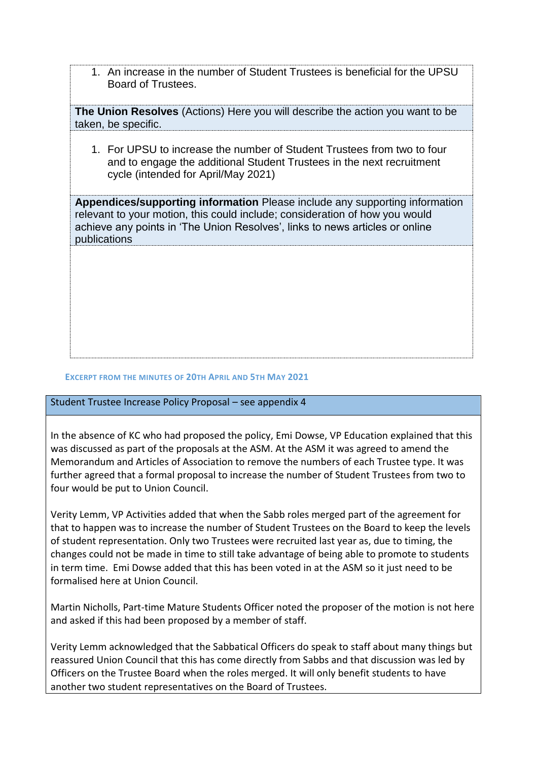1. An increase in the number of Student Trustees is beneficial for the UPSU Board of Trustees.

**The Union Resolves** (Actions) Here you will describe the action you want to be taken, be specific.

1. For UPSU to increase the number of Student Trustees from two to four and to engage the additional Student Trustees in the next recruitment cycle (intended for April/May 2021)

**Appendices/supporting information** Please include any supporting information relevant to your motion, this could include; consideration of how you would achieve any points in 'The Union Resolves', links to news articles or online publications

## **EXCERPT FROM THE MINUTES OF 20TH APRIL AND 5TH MAY 2021**

## Student Trustee Increase Policy Proposal – see appendix 4

In the absence of KC who had proposed the policy, Emi Dowse, VP Education explained that this was discussed as part of the proposals at the ASM. At the ASM it was agreed to amend the Memorandum and Articles of Association to remove the numbers of each Trustee type. It was further agreed that a formal proposal to increase the number of Student Trustees from two to four would be put to Union Council.

Verity Lemm, VP Activities added that when the Sabb roles merged part of the agreement for that to happen was to increase the number of Student Trustees on the Board to keep the levels of student representation. Only two Trustees were recruited last year as, due to timing, the changes could not be made in time to still take advantage of being able to promote to students in term time. Emi Dowse added that this has been voted in at the ASM so it just need to be formalised here at Union Council.

Martin Nicholls, Part-time Mature Students Officer noted the proposer of the motion is not here and asked if this had been proposed by a member of staff.

Verity Lemm acknowledged that the Sabbatical Officers do speak to staff about many things but reassured Union Council that this has come directly from Sabbs and that discussion was led by Officers on the Trustee Board when the roles merged. It will only benefit students to have another two student representatives on the Board of Trustees.